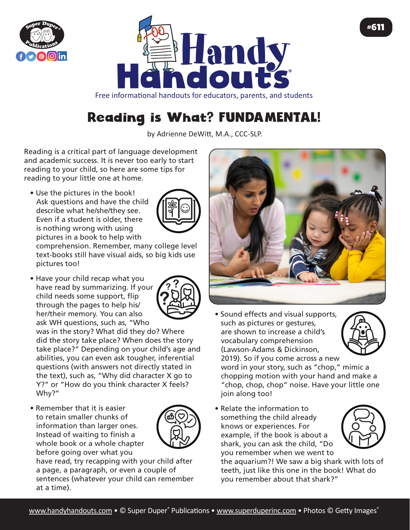



Free informational handouts for educators, parents, and students

## Reading is What? FUNDAMENTAL!

by Adrienne DeWitt, M.A., CCC-SLP.

Reading is a critical part of language development and academic success. It is never too early to start reading to your child, so here are some tips for reading to your little one at home.

• Use the pictures in the book! Ask questions and have the child describe what he/she/they see. Even if a student is older, there is nothing wrong with using pictures in a book to help with



comprehension. Remember, many college level text-books still have visual aids, so big kids use pictures too!

• Have your child recap what you have read by summarizing. If your child needs some support, flip through the pages to help his/ her/their memory. You can also ask WH questions, such as, "Who

was in the story? What did they do? Where did the story take place? When does the story take place?" Depending on your child's age and abilities, you can even ask tougher, inferential questions (with answers not directly stated in the text), such as, "Why did character X go to Y?" or "How do you think character X feels? Why?"

• Remember that it is easier to retain smaller chunks of information than larger ones. Instead of waiting to finish a whole book or a whole chapter before going over what you



have read, try recapping with your child after a page, a paragraph, or even a couple of sentences (whatever your child can remember at a time).



• Sound effects and visual supports, such as pictures or gestures, are shown to increase a child's vocabulary comprehension (Lawson-Adams & Dickinson, 2019). So if you come across a new

word in your story, such as "chop," mimic a chopping motion with your hand and make a "chop, chop, chop" noise. Have your little one join along too!

• Relate the information to something the child already knows or experiences. For example, if the book is about a shark, you can ask the child, "Do you remember when we went to



the aquarium?! We saw a big shark with lots of teeth, just like this one in the book! What do you remember about that shark?"